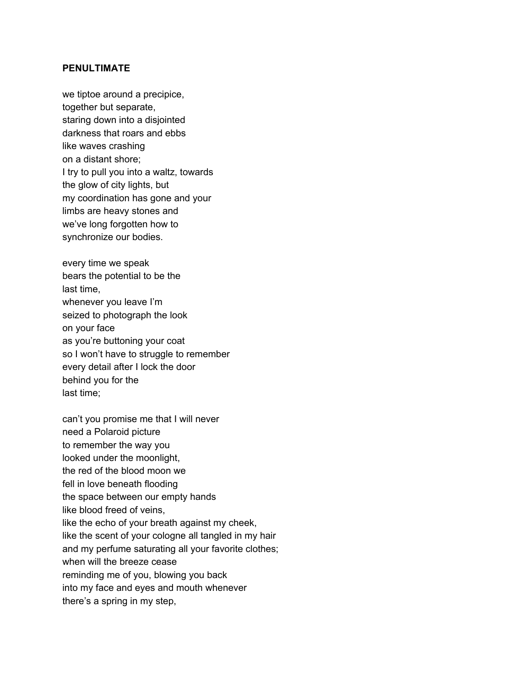## **PENULTIMATE**

we tiptoe around a precipice, together but separate, staring down into a disjointed darkness that roars and ebbs like waves crashing on a distant shore; I try to pull you into a waltz, towards the glow of city lights, but my coordination has gone and your limbs are heavy stones and we've long forgotten how to synchronize our bodies.

every time we speak bears the potential to be the last time, whenever you leave I'm seized to photograph the look on your face as you're buttoning your coat so I won't have to struggle to remember every detail after I lock the door behind you for the last time;

can't you promise me that I will never need a Polaroid picture to remember the way you looked under the moonlight, the red of the blood moon we fell in love beneath flooding the space between our empty hands like blood freed of veins, like the echo of your breath against my cheek, like the scent of your cologne all tangled in my hair and my perfume saturating all your favorite clothes; when will the breeze cease reminding me of you, blowing you back into my face and eyes and mouth whenever there's a spring in my step,